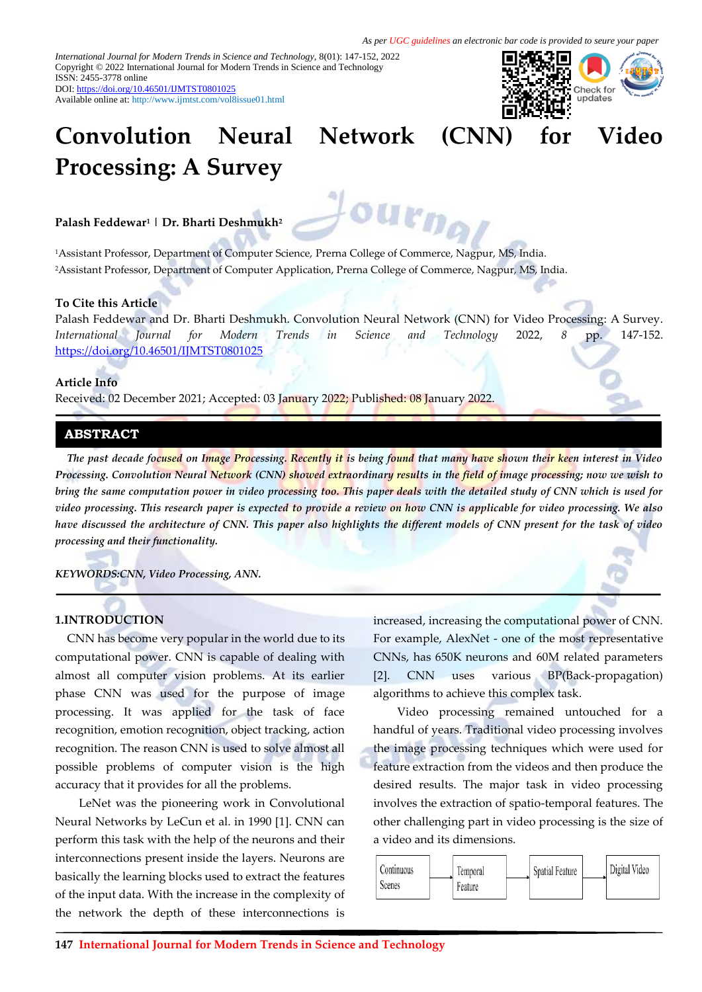*International Journal for Modern Trends in Science and Technology,* 8(01): 147-152, 2022 Copyright © 2022 International Journal for Modern Trends in Science and Technology ISSN: 2455-3778 online DOI[: https://doi.org/10.46501/IJMTST0801025](https://doi.org/10.46501/IJMTST0801006)

Available online at:<http://www.ijmtst.com/vol8issue01.html>



# **Convolution Neural Network (CNN) for Video Processing: A Survey**

u<sub>rn</sub>

**Palash Feddewar<sup>1</sup> | Dr. Bharti Deshmukh<sup>2</sup>**

<sup>1</sup>Assistant Professor, Department of Computer Science, Prerna College of Commerce, Nagpur, MS, India. <sup>2</sup>Assistant Professor, Department of Computer Application, Prerna College of Commerce, Nagpur, MS, India.

## **To Cite this Article**

Palash Feddewar and Dr. Bharti Deshmukh. Convolution Neural Network (CNN) for Video Processing: A Survey. *International Journal for Modern Trends in Science and Technology* 2022, *8* pp. 147-152. [https://doi.org/10.46501/IJMTST0801025](https://doi.org/10.46501/IJMTST0801006)

#### **Article Info**

Received: 02 December 2021; Accepted: 03 January 2022; Published: 08 January 2022.

## **ABSTRACT**

*The past decade focused on Image Processing. Recently it is being found that many have shown their keen interest in Video Processing. Convolution Neural Network (CNN) showed extraordinary results in the field of image processing; now we wish to bring the same computation power in video processing too. This paper deals with the detailed study of CNN which is used for video processing. This research paper is expected to provide a review on how CNN is applicable for video processing. We also have discussed the architecture of CNN. This paper also highlights the different models of CNN present for the task of video processing and their functionality.* 

*KEYWORDS:CNN, Video Processing, ANN.*

## **1.INTRODUCTION**

CNN has become very popular in the world due to its computational power. CNN is capable of dealing with almost all computer vision problems. At its earlier phase CNN was used for the purpose of image processing. It was applied for the task of face recognition, emotion recognition, object tracking, action recognition. The reason CNN is used to solve almost all possible problems of computer vision is the high accuracy that it provides for all the problems.

LeNet was the pioneering work in Convolutional Neural Networks by LeCun et al. in 1990 [1]. CNN can perform this task with the help of the neurons and their interconnections present inside the layers. Neurons are basically the learning blocks used to extract the features of the input data. With the increase in the complexity of the network the depth of these interconnections is

increased, increasing the computational power of CNN. For example, AlexNet - one of the most representative CNNs, has 650K neurons and 60M related parameters [2]. CNN uses various BP(Back-propagation) algorithms to achieve this complex task.

Video processing remained untouched for a handful of years. Traditional video processing involves the image processing techniques which were used for feature extraction from the videos and then produce the desired results. The major task in video processing involves the extraction of spatio-temporal features. The other challenging part in video processing is the size of a video and its dimensions.

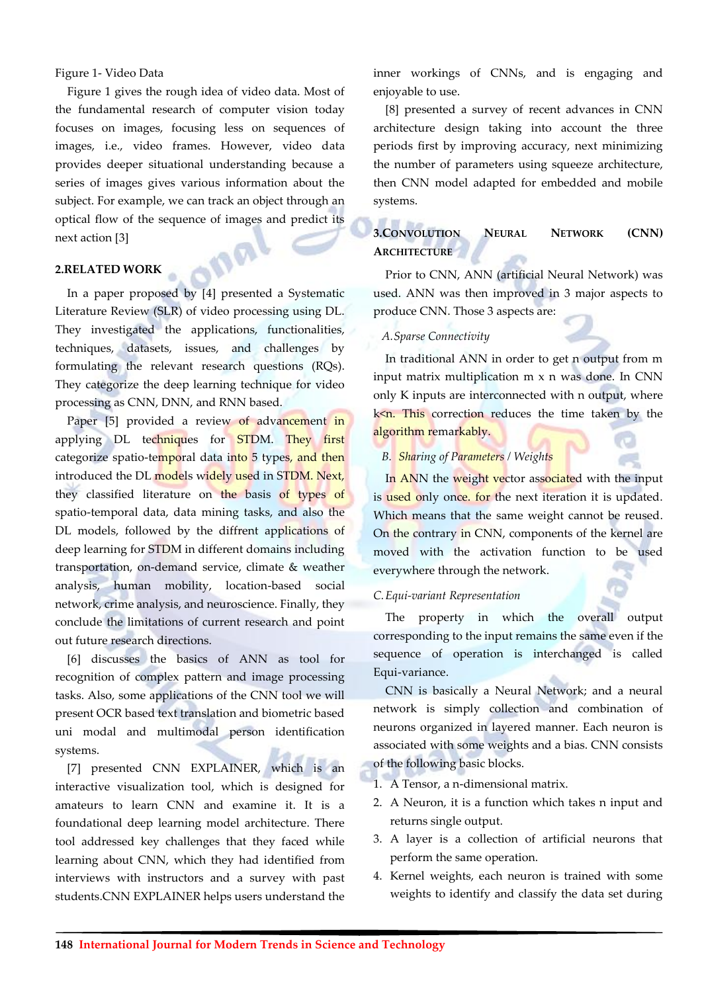## Figure 1- Video Data

Figure 1 gives the rough idea of video data. Most of the fundamental research of computer vision today focuses on images, focusing less on sequences of images, i.e., video frames. However, video data provides deeper situational understanding because a series of images gives various information about the subject. For example, we can track an object through an optical flow of the sequence of images and predict its next action [3]

#### **2.RELATED WORK**

In a paper proposed by [4] presented a Systematic Literature Review (SLR) of video processing using DL. They investigated the applications, functionalities, techniques, datasets, issues, and challenges by formulating the relevant research questions (RQs). They categorize the deep learning technique for video processing as CNN, DNN, and RNN based.

Paper [5] provided a review of advancement in applying DL techniques for STDM. They first categorize spatio-temporal data into 5 types, and then introduced the DL models widely used in STDM. Next, they classified literature on the basis of types of spatio-temporal data, data mining tasks, and also the DL models, followed by the diffrent applications of deep learning for STDM in different domains including transportation, on-demand service, climate & weather analysis, human mobility, location-based social network, crime analysis, and neuroscience. Finally, they conclude the limitations of current research and point out future research directions.

[6] discusses the basics of ANN as tool for recognition of complex pattern and image processing tasks. Also, some applications of the CNN tool we will present OCR based text translation and biometric based uni modal and multimodal person identification systems.

[7] presented CNN EXPLAINER, which is an interactive visualization tool, which is designed for amateurs to learn CNN and examine it. It is a foundational deep learning model architecture. There tool addressed key challenges that they faced while learning about CNN, which they had identified from interviews with instructors and a survey with past students.CNN EXPLAINER helps users understand the

inner workings of CNNs, and is engaging and enjoyable to use.

[8] presented a survey of recent advances in CNN architecture design taking into account the three periods first by improving accuracy, next minimizing the number of parameters using squeeze architecture, then CNN model adapted for embedded and mobile systems.

# **3.CONVOLUTION NEURAL NETWORK (CNN) ARCHITECTURE**

Prior to CNN, ANN (artificial Neural Network) was used. ANN was then improved in 3 major aspects to produce CNN. Those 3 aspects are:

#### *A.Sparse Connectivity*

In traditional ANN in order to get n output from m input matrix multiplication m x n was done. In CNN only K inputs are interconnected with n output, where k<n. This correction reduces the time taken by the algorithm remarkably.

#### *B. Sharing of Parameters / Weights*

In ANN the weight vector associated with the input is used only once. for the next iteration it is updated. Which means that the same weight cannot be reused. On the contrary in CNN, components of the kernel are moved with the activation function to be used everywhere through the network.

#### *C.Equi-variant Representation*

The property in which the overall output corresponding to the input remains the same even if the sequence of operation is interchanged is called Equi-variance.

CNN is basically a Neural Network; and a neural network is simply collection and combination of neurons organized in layered manner. Each neuron is associated with some weights and a bias. CNN consists of the following basic blocks.

- 1. A Tensor, a n-dimensional matrix.
- 2. A Neuron, it is a function which takes n input and returns single output.
- 3. A layer is a collection of artificial neurons that perform the same operation.
- 4. Kernel weights, each neuron is trained with some weights to identify and classify the data set during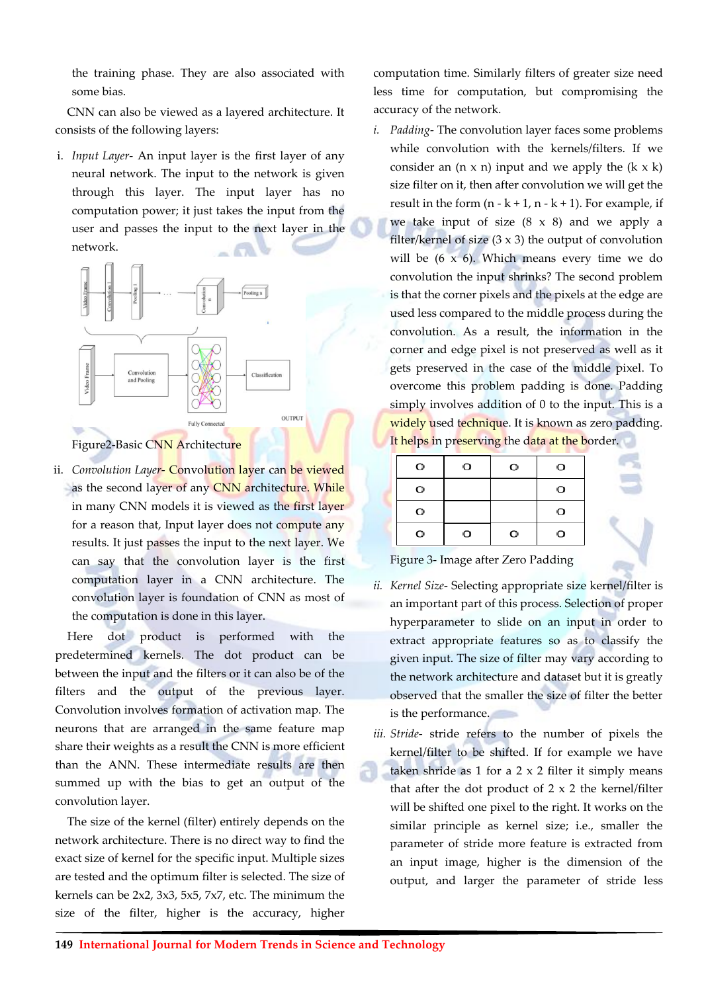the training phase. They are also associated with some bias.

CNN can also be viewed as a layered architecture. It consists of the following layers:

i. *Input Layer*- An input layer is the first layer of any neural network. The input to the network is given through this layer. The input layer has no computation power; it just takes the input from the user and passes the input to the next layer in the network.





ii. *Convolution Layer*- Convolution layer can be viewed as the second layer of any CNN architecture. While in many CNN models it is viewed as the first layer for a reason that, Input layer does not compute any results. It just passes the input to the next layer. We can say that the convolution layer is the first computation layer in a CNN architecture. The convolution layer is foundation of CNN as most of the computation is done in this layer.

Here dot product is performed with the predetermined kernels. The dot product can be between the input and the filters or it can also be of the filters and the output of the previous layer. Convolution involves formation of activation map. The neurons that are arranged in the same feature map share their weights as a result the CNN is more efficient than the ANN. These intermediate results are then summed up with the bias to get an output of the convolution layer.

The size of the kernel (filter) entirely depends on the network architecture. There is no direct way to find the exact size of kernel for the specific input. Multiple sizes are tested and the optimum filter is selected. The size of kernels can be 2x2, 3x3, 5x5, 7x7, etc. The minimum the size of the filter, higher is the accuracy, higher computation time. Similarly filters of greater size need less time for computation, but compromising the accuracy of the network.

*i. Padding*- The convolution layer faces some problems while convolution with the kernels/filters. If we consider an  $(n \times n)$  input and we apply the  $(k \times k)$ size filter on it, then after convolution we will get the result in the form  $(n - k + 1, n - k + 1)$ . For example, if we take input of size  $(8 \times 8)$  and we apply a filter/kernel of size  $(3 \times 3)$  the output of convolution will be  $(6 \times 6)$ . Which means every time we do convolution the input shrinks? The second problem is that the corner pixels and the pixels at the edge are used less compared to the middle process during the convolution. As a result, the information in the corner and edge pixel is not preserved as well as it gets preserved in the case of the middle pixel. To overcome this problem padding is done. Padding simply involves addition of 0 to the input. This is a widely used technique. It is known as zero padding. It helps in preserving the data at the border.

| O | о | O | O |  |
|---|---|---|---|--|
| O |   |   | O |  |
| O |   |   | O |  |
| O | O | о | О |  |

Figure 3- Image after Zero Padding

- *ii. Kernel Size* Selecting appropriate size kernel/filter is an important part of this process. Selection of proper hyperparameter to slide on an input in order to extract appropriate features so as to classify the given input. The size of filter may vary according to the network architecture and dataset but it is greatly observed that the smaller the size of filter the better is the performance.
- *iii. Stride* stride refers to the number of pixels the kernel/filter to be shifted. If for example we have taken shride as  $1$  for a  $2 \times 2$  filter it simply means that after the dot product of  $2 \times 2$  the kernel/filter will be shifted one pixel to the right. It works on the similar principle as kernel size; i.e., smaller the parameter of stride more feature is extracted from an input image, higher is the dimension of the output, and larger the parameter of stride less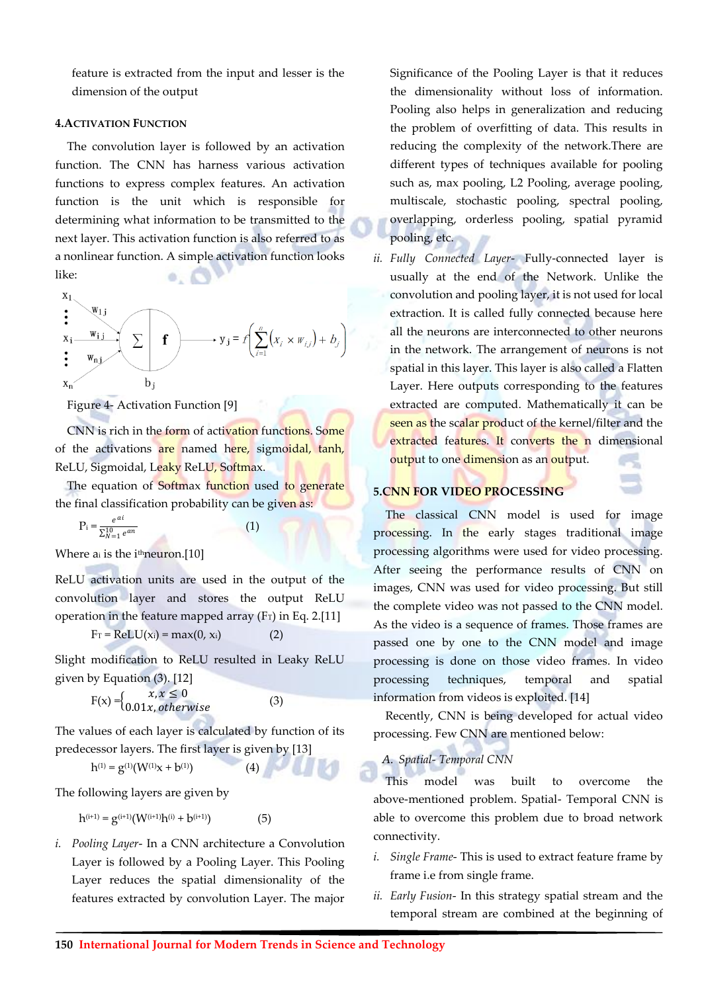feature is extracted from the input and lesser is the dimension of the output

## **4.ACTIVATION FUNCTION**

The convolution layer is followed by an activation function. The CNN has harness various activation functions to express complex features. An activation function is the unit which is responsible for determining what information to be transmitted to the next layer. This activation function is also referred to as a nonlinear function. A simple activation function looks like:  $0.1$ 

x<sub>1</sub>  
\nx<sub>i</sub>   
\n
$$
\begin{array}{c}\n w_{1j} \\
x_1 \quad w_{nj} \\
\vdots \\
w_{nj} \quad \end{array}
$$
\n $\sum$  **f**  
\n $\rightarrow$  y<sub>j</sub> = f $\left( \sum_{i=1}^n (x_i \times w_{ij}) + b_j \right)$ 

Figure 4- Activation Function [9]

CNN is rich in the form of activation functions. Some of the activations are named here, sigmoidal, tanh, ReLU, Sigmoidal, Leaky ReLU, Softmax.

The equation of Softmax function used to generate the final classification probability can be given as:

$$
P_i = \frac{e^{ai}}{\sum_{N=1}^{10} e^{an}}
$$
 (1)

Where  $a_i$  is the i<sup>th</sup>neuron.<sup>[10]</sup>

ReLU activation units are used in the output of the convolution layer and stores the output ReLU operation in the feature mapped array  $(F_T)$  in Eq. 2.[11]

$$
F_T = ReLU(x_i) = max(0, x_i)
$$
 (2)

Slight modification to ReLU resulted in Leaky ReLU given by Equation (3). [12]

$$
F(x) = \begin{cases} x, x \le 0\\ 0.01x, otherwise \end{cases}
$$

The values of each layer is calculated by function of its predecessor layers. The first layer is given by [13]

$$
h^{(1)} = g^{(1)}(W^{(1)}x + b^{(1)})
$$
 (4)

The following layers are given by

$$
h^{(i+1)} = g^{(i+1)}(W^{(i+1)}h^{(i)} + b^{(i+1)})
$$
 (5)

*i. Pooling Layer*- In a CNN architecture a Convolution Layer is followed by a Pooling Layer. This Pooling Layer reduces the spatial dimensionality of the features extracted by convolution Layer. The major Significance of the Pooling Layer is that it reduces the dimensionality without loss of information. Pooling also helps in generalization and reducing the problem of overfitting of data. This results in reducing the complexity of the network.There are different types of techniques available for pooling such as, max pooling, L2 Pooling, average pooling, multiscale, stochastic pooling, spectral pooling, overlapping, orderless pooling, spatial pyramid pooling, etc.

*ii. Fully Connected Layer*- Fully-connected layer is usually at the end of the Network. Unlike the convolution and pooling layer, it is not used for local extraction. It is called fully connected because here all the neurons are interconnected to other neurons in the network. The arrangement of neurons is not spatial in this layer. This layer is also called a Flatten Layer. Here outputs corresponding to the features extracted are computed. Mathematically it can be seen as the scalar product of the kernel/filter and the extracted features. It converts the n dimensional output to one dimension as an output.

# **5.CNN FOR VIDEO PROCESSING**

The classical CNN model is used for image processing. In the early stages traditional image processing algorithms were used for video processing. After seeing the performance results of CNN on images, CNN was used for video processing. But still the complete video was not passed to the CNN model. As the video is a sequence of frames. Those frames are passed one by one to the CNN model and image processing is done on those video frames. In video processing techniques, temporal and spatial information from videos is exploited. [14]

Recently, CNN is being developed for actual video processing. Few CNN are mentioned below:

# *A. Spatial- Temporal CNN*

This model was built to overcome the above-mentioned problem. Spatial- Temporal CNN is able to overcome this problem due to broad network connectivity.

- *i. Single Frame* This is used to extract feature frame by frame i.e from single frame.
- *ii. Early Fusion* In this strategy spatial stream and the temporal stream are combined at the beginning of

(3)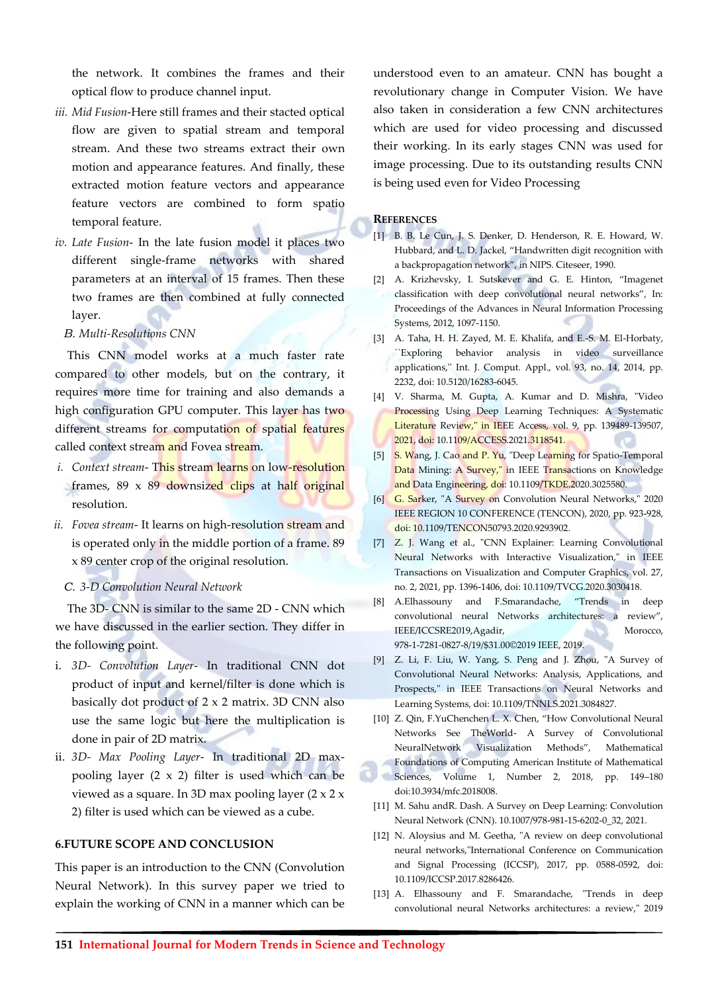the network. It combines the frames and their optical flow to produce channel input.

- *iii. Mid Fusion*-Here still frames and their stacted optical flow are given to spatial stream and temporal stream. And these two streams extract their own motion and appearance features. And finally, these extracted motion feature vectors and appearance feature vectors are combined to form spatio temporal feature.
- *iv. Late Fusion* In the late fusion model it places two different single-frame networks with shared parameters at an interval of 15 frames. Then these two frames are then combined at fully connected layer.
	- *B. Multi-Resolutions CNN*

This CNN model works at a much faster rate compared to other models, but on the contrary, it requires more time for training and also demands a high configuration GPU computer. This layer has two different streams for computation of spatial features called context stream and Fovea stream.

- *i. Context stream* This stream learns on low-resolution frames, 89 x 89 downsized clips at half original resolution.
- *ii. Fovea stream* It learns on high-resolution stream and is operated only in the middle portion of a frame. 89 x 89 center crop of the original resolution.
	- *C. 3-D Convolution Neural Network*

The 3D- CNN is similar to the same 2D - CNN which we have discussed in the earlier section. They differ in the following point.

- i. *3D- Convolution Layer* In traditional CNN dot product of input and kernel/filter is done which is basically dot product of 2 x 2 matrix. 3D CNN also use the same logic but here the multiplication is done in pair of 2D matrix.
- ii. *3D- Max Pooling Layer* In traditional 2D maxpooling layer  $(2 \times 2)$  filter is used which can be viewed as a square. In 3D max pooling layer (2 x 2 x 2) filter is used which can be viewed as a cube.

# **6.FUTURE SCOPE AND CONCLUSION**

This paper is an introduction to the CNN (Convolution Neural Network). In this survey paper we tried to explain the working of CNN in a manner which can be

understood even to an amateur. CNN has bought a revolutionary change in Computer Vision. We have also taken in consideration a few CNN architectures which are used for video processing and discussed their working. In its early stages CNN was used for image processing. Due to its outstanding results CNN is being used even for Video Processing

#### **REFERENCES**

- [1] B. B. Le Cun, J. S. Denker, D. Henderson, R. E. Howard, W. Hubbard, and L. D. Jackel, "Handwritten digit recognition with a backpropagation network", in NIPS. Citeseer, 1990.
- [2] A. Krizhevsky, I. Sutskever and G. E. Hinton, "Imagenet classification with deep convolutional neural networks", In: Proceedings of the Advances in Neural Information Processing Systems, 2012, 1097-1150.
- [3] A. Taha, H. H. Zayed, M. E. Khalifa, and E.-S. M. El-Horbaty, ``Exploring behavior analysis in video surveillance applications,'' Int. J. Comput. Appl., vol. 93, no. 14, 2014, pp. 2232, doi: 10.5120/16283-6045.
- [4] V. Sharma, M. Gupta, A. Kumar and D. Mishra, "Video Processing Using Deep Learning Techniques: A Systematic Literature Review," in IEEE Access, vol. 9, pp. 139489-139507, 2021, doi: 10.1109/ACCESS.2021.3118541.
- [5] S. Wang, J. Cao and P. Yu, "Deep Learning for Spatio-Temporal Data Mining: A Survey," in IEEE Transactions on Knowledge and Data Engineering, doi: 10.1109/TKDE.2020.3025580.
- [6] G. Sarker, "A Survey on Convolution Neural Networks," 2020 IEEE REGION 10 CONFERENCE (TENCON), 2020, pp. 923-928, doi: 10.1109/TENCON50793.2020.9293902.
- [7] Z. J. Wang et al., "CNN Explainer: Learning Convolutional Neural Networks with Interactive Visualization," in IEEE Transactions on Visualization and Computer Graphics, vol. 27, no. 2, 2021, pp. 1396-1406, doi: 10.1109/TVCG.2020.3030418.
- [8] A.Elhassouny and F.Smarandache, "Trends in deep convolutional neural Networks architectures: a review", IEEE/ICCSRE2019,Agadir, Morocco, 978-1-7281-0827-8/19/\$31.00©2019 IEEE, 2019.
- [9] Z. Li, F. Liu, W. Yang, S. Peng and J. Zhou, "A Survey of Convolutional Neural Networks: Analysis, Applications, and Prospects," in IEEE Transactions on Neural Networks and Learning Systems, doi: 10.1109/TNNLS.2021.3084827.
- [10] Z. Qin, F.YuChenchen L. X. Chen, "How Convolutional Neural Networks See TheWorld- A Survey of Convolutional NeuralNetwork Visualization Methods", Mathematical Foundations of Computing American Institute of Mathematical Sciences, Volume 1, Number 2, 2018, pp. 149–180 doi:10.3934/mfc.2018008.
- [11] M. Sahu andR. Dash. A Survey on Deep Learning: Convolution Neural Network (CNN). 10.1007/978-981-15-6202-0\_32, 2021.
- [12] N. Aloysius and M. Geetha, "A review on deep convolutional neural networks,"International Conference on Communication and Signal Processing (ICCSP), 2017, pp. 0588-0592, doi: 10.1109/ICCSP.2017.8286426.
- [13] A. Elhassouny and F. Smarandache, "Trends in deep convolutional neural Networks architectures: a review," 2019